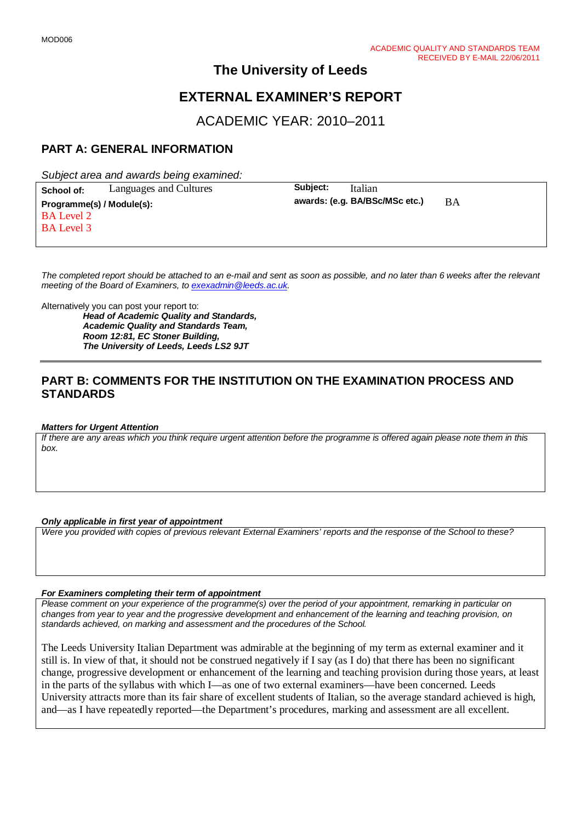# **The University of Leeds**

# **EXTERNAL EXAMINER'S REPORT**

ACADEMIC YEAR: 2010–2011

# **PART A: GENERAL INFORMATION**

*Subject area and awards being examined:*

**School of:** Languages and Cultures **Subject:** Italian **Programme(s) / Module(s): awards: (e.g. BA/BSc/MSc etc.)** BA BA Level 2 BA Level 3

*The completed report should be attached to an e-mail and sent as soon as possible, and no later than 6 weeks after the relevant meeting of the Board of Examiners, to [exexadmin@leeds.ac.uk.](mailto:exexadmin@leeds.ac.uk)*

Alternatively you can post your report to:

*Head of Academic Quality and Standards, Academic Quality and Standards Team, Room 12:81, EC Stoner Building, The University of Leeds, Leeds LS2 9JT*

## **PART B: COMMENTS FOR THE INSTITUTION ON THE EXAMINATION PROCESS AND STANDARDS**

#### *Matters for Urgent Attention*

*If there are any areas which you think require urgent attention before the programme is offered again please note them in this box.*

#### *Only applicable in first year of appointment*

*Were you provided with copies of previous relevant External Examiners' reports and the response of the School to these?* 

#### *For Examiners completing their term of appointment*

*Please comment on your experience of the programme(s) over the period of your appointment, remarking in particular on changes from year to year and the progressive development and enhancement of the learning and teaching provision, on standards achieved, on marking and assessment and the procedures of the School.* 

The Leeds University Italian Department was admirable at the beginning of my term as external examiner and it still is. In view of that, it should not be construed negatively if I say (as I do) that there has been no significant change, progressive development or enhancement of the learning and teaching provision during those years, at least in the parts of the syllabus with which I—as one of two external examiners—have been concerned. Leeds University attracts more than its fair share of excellent students of Italian, so the average standard achieved is high, and—as I have repeatedly reported—the Department's procedures, marking and assessment are all excellent.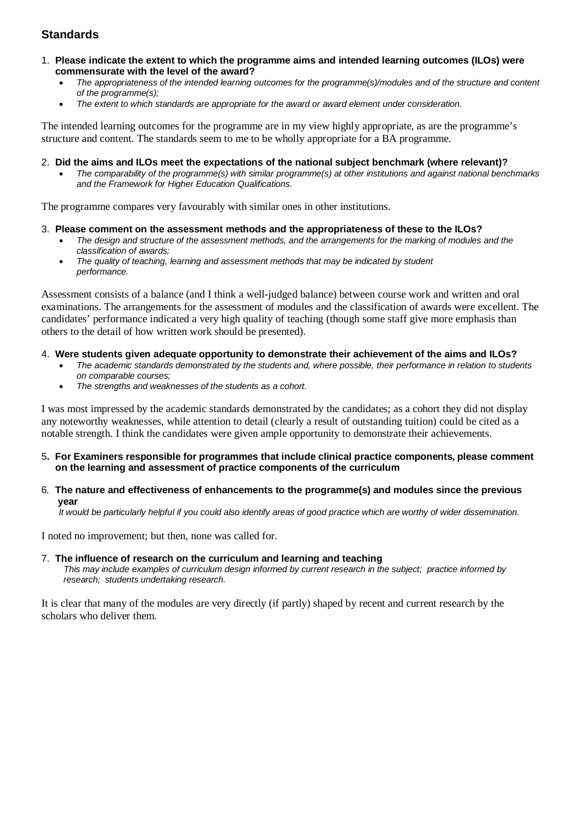# **Standards**

- 1. **Please indicate the extent to which the programme aims and intended learning outcomes (ILOs) were commensurate with the level of the award?**
	- *The appropriateness of the intended learning outcomes for the programme(s)/modules and of the structure and content of the programme(s);*
	- *The extent to which standards are appropriate for the award or award element under consideration.*

The intended learning outcomes for the programme are in my view highly appropriate, as are the programme's structure and content. The standards seem to me to be wholly appropriate for a BA programme.

### 2. **Did the aims and ILOs meet the expectations of the national subject benchmark (where relevant)?**

• *The comparability of the programme(s) with similar programme(s) at other institutions and against national benchmarks and the Framework for Higher Education Qualifications.*

The programme compares very favourably with similar ones in other institutions.

- 3. **Please comment on the assessment methods and the appropriateness of these to the ILOs?**
	- *The design and structure of the assessment methods, and the arrangements for the marking of modules and the classification of awards;*
	- *The quality of teaching, learning and assessment methods that may be indicated by student performance.*

Assessment consists of a balance (and I think a well-judged balance) between course work and written and oral examinations. The arrangements for the assessment of modules and the classification of awards were excellent. The candidates' performance indicated a very high quality of teaching (though some staff give more emphasis than others to the detail of how written work should be presented).

### 4. **Were students given adequate opportunity to demonstrate their achievement of the aims and ILOs?**

- *The academic standards demonstrated by the students and, where possible, their performance in relation to students on comparable courses;*
- *The strengths and weaknesses of the students as a cohort.*

I was most impressed by the academic standards demonstrated by the candidates; as a cohort they did not display any noteworthy weaknesses, while attention to detail (clearly a result of outstanding tuition) could be cited as a notable strength. I think the candidates were given ample opportunity to demonstrate their achievements.

- 5**. For Examiners responsible for programmes that include clinical practice components, please comment on the learning and assessment of practice components of the curriculum**
- 6*.* **The nature and effectiveness of enhancements to the programme(s) and modules since the previous year**

 *It would be particularly helpful if you could also identify areas of good practice which are worthy of wider dissemination.* 

I noted no improvement; but then, none was called for.

### 7.**The influence of research on the curriculum and learning and teaching**

 *This may include examples of curriculum design informed by current research in the subject; practice informed by research; students undertaking research.* 

It is clear that many of the modules are very directly (if partly) shaped by recent and current research by the scholars who deliver them.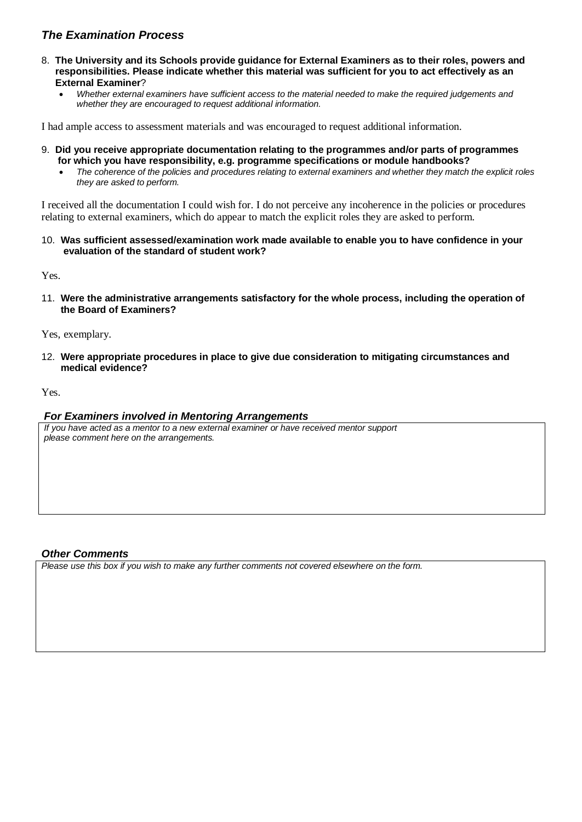## *The Examination Process*

- 8. **The University and its Schools provide guidance for External Examiners as to their roles, powers and responsibilities. Please indicate whether this material was sufficient for you to act effectively as an External Examiner**?
	- *Whether external examiners have sufficient access to the material needed to make the required judgements and whether they are encouraged to request additional information.*

I had ample access to assessment materials and was encouraged to request additional information.

- 9. **Did you receive appropriate documentation relating to the programmes and/or parts of programmes for which you have responsibility, e.g. programme specifications or module handbooks?**
	- *The coherence of the policies and procedures relating to external examiners and whether they match the explicit roles they are asked to perform.*

I received all the documentation I could wish for. I do not perceive any incoherence in the policies or procedures relating to external examiners, which do appear to match the explicit roles they are asked to perform.

10. **Was sufficient assessed/examination work made available to enable you to have confidence in your evaluation of the standard of student work?**

Yes.

11. **Were the administrative arrangements satisfactory for the whole process, including the operation of the Board of Examiners?**

Yes, exemplary.

12. **Were appropriate procedures in place to give due consideration to mitigating circumstances and medical evidence?**

Yes.

### *For Examiners involved in Mentoring Arrangements*

*If you have acted as a mentor to a new external examiner or have received mentor support please comment here on the arrangements.*

### *Other Comments*

*Please use this box if you wish to make any further comments not covered elsewhere on the form.*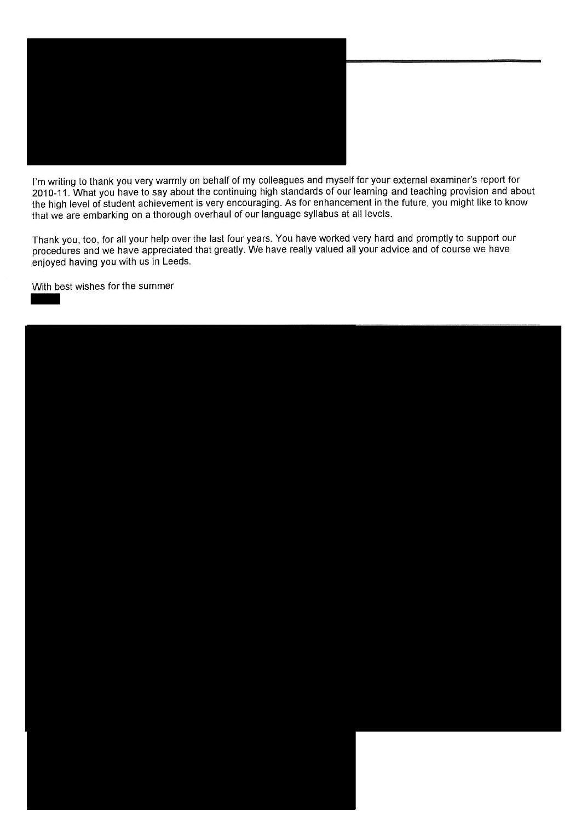

I'm writing to thank you very warmly on behalf of my colleagues and myself for your external examiner's report for 2010-11. What you have to say about the continuing high standards of our learning and teaching provision and about the high level of student achievement is very encouraging. As for enhancement in the future, you might like to know that we are embarking on a thorough overhaul of our language syllabus at all levels.

Thank you, too, for all your help over the last four years. You have worked very hard and promptly to support our procedures and we have appreciated that greatly. We have really valued all your advice and of course we have enjoyed having you with us in Leeds.

With best wishes for the summer

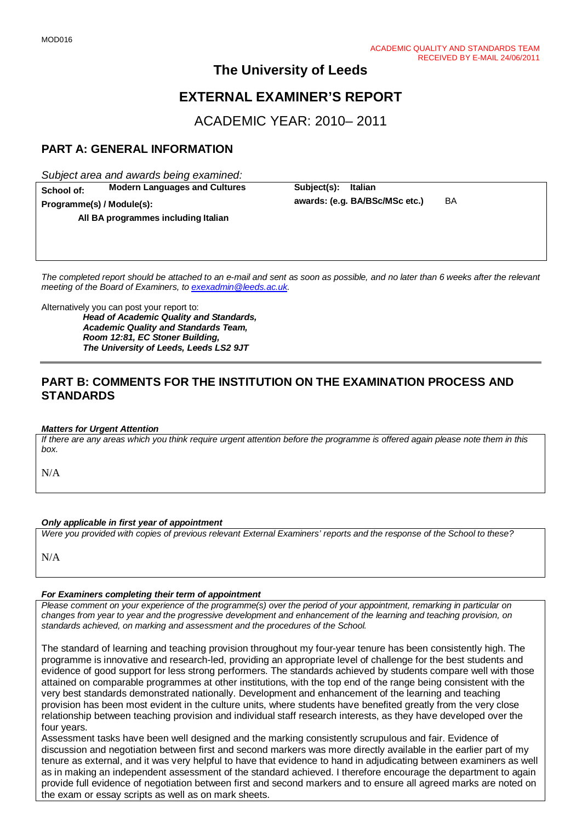# **The University of Leeds**

# **EXTERNAL EXAMINER'S REPORT**

ACADEMIC YEAR: 2010– 2011

# **PART A: GENERAL INFORMATION**

*Subject area and awards being examined:*

**School of: Modern Languages and Cultures Subject(s): Italian Programme(s) / Module(s): All BA programmes including Italian**

**awards: (e.g. BA/BSc/MSc etc.)** BA

*The completed report should be attached to an e-mail and sent as soon as possible, and no later than 6 weeks after the relevant meeting of the Board of Examiners, to [exexadmin@leeds.ac.uk.](mailto:exexadmin@leeds.ac.uk)*

Alternatively you can post your report to:

*Head of Academic Quality and Standards, Academic Quality and Standards Team, Room 12:81, EC Stoner Building, The University of Leeds, Leeds LS2 9JT*

### **PART B: COMMENTS FOR THE INSTITUTION ON THE EXAMINATION PROCESS AND STANDARDS**

#### *Matters for Urgent Attention*

*If there are any areas which you think require urgent attention before the programme is offered again please note them in this box.*

N/A

#### *Only applicable in first year of appointment*

*Were you provided with copies of previous relevant External Examiners' reports and the response of the School to these?* 

N/A

#### *For Examiners completing their term of appointment*

*Please comment on your experience of the programme(s) over the period of your appointment, remarking in particular on changes from year to year and the progressive development and enhancement of the learning and teaching provision, on standards achieved, on marking and assessment and the procedures of the School.* 

The standard of learning and teaching provision throughout my four-year tenure has been consistently high. The programme is innovative and research-led, providing an appropriate level of challenge for the best students and evidence of good support for less strong performers. The standards achieved by students compare well with those attained on comparable programmes at other institutions, with the top end of the range being consistent with the very best standards demonstrated nationally. Development and enhancement of the learning and teaching provision has been most evident in the culture units, where students have benefited greatly from the very close relationship between teaching provision and individual staff research interests, as they have developed over the four years.

Assessment tasks have been well designed and the marking consistently scrupulous and fair. Evidence of discussion and negotiation between first and second markers was more directly available in the earlier part of my tenure as external, and it was very helpful to have that evidence to hand in adjudicating between examiners as well as in making an independent assessment of the standard achieved. I therefore encourage the department to again provide full evidence of negotiation between first and second markers and to ensure all agreed marks are noted on the exam or essay scripts as well as on mark sheets.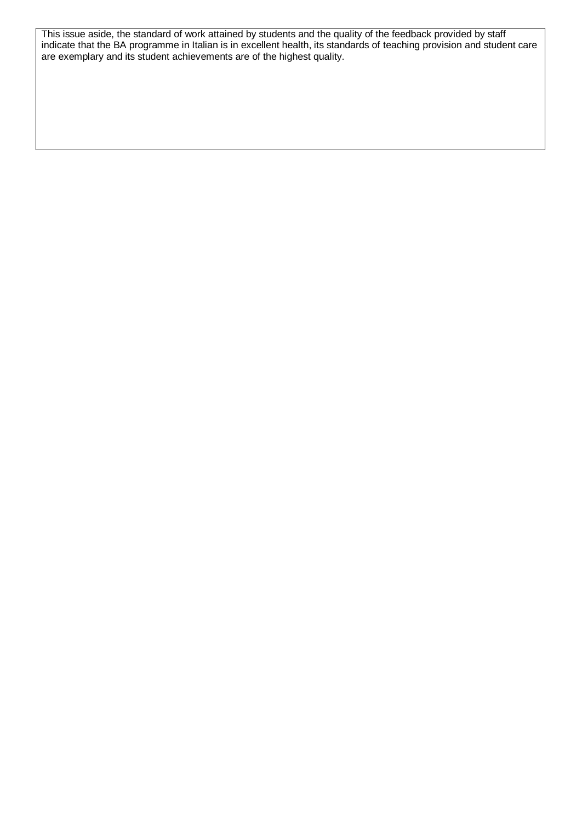This issue aside, the standard of work attained by students and the quality of the feedback provided by staff indicate that the BA programme in Italian is in excellent health, its standards of teaching provision and student care are exemplary and its student achievements are of the highest quality.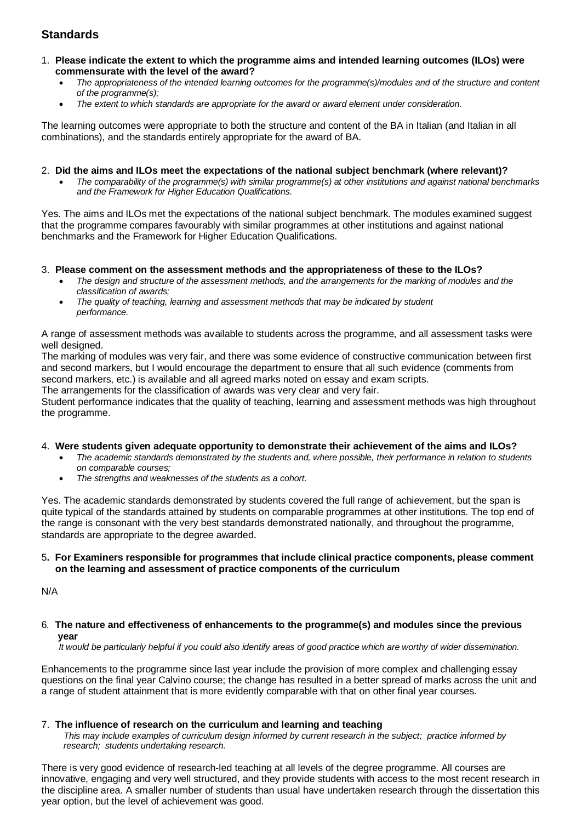# **Standards**

- 1. **Please indicate the extent to which the programme aims and intended learning outcomes (ILOs) were commensurate with the level of the award?**
	- *The appropriateness of the intended learning outcomes for the programme(s)/modules and of the structure and content of the programme(s);*
	- *The extent to which standards are appropriate for the award or award element under consideration.*

The learning outcomes were appropriate to both the structure and content of the BA in Italian (and Italian in all combinations), and the standards entirely appropriate for the award of BA.

#### 2. **Did the aims and ILOs meet the expectations of the national subject benchmark (where relevant)?**

• *The comparability of the programme(s) with similar programme(s) at other institutions and against national benchmarks and the Framework for Higher Education Qualifications.*

Yes. The aims and ILOs met the expectations of the national subject benchmark. The modules examined suggest that the programme compares favourably with similar programmes at other institutions and against national benchmarks and the Framework for Higher Education Qualifications.

### 3. **Please comment on the assessment methods and the appropriateness of these to the ILOs?**

- *The design and structure of the assessment methods, and the arrangements for the marking of modules and the classification of awards;*
- *The quality of teaching, learning and assessment methods that may be indicated by student performance.*

A range of assessment methods was available to students across the programme, and all assessment tasks were well designed.

The marking of modules was very fair, and there was some evidence of constructive communication between first and second markers, but I would encourage the department to ensure that all such evidence (comments from second markers, etc.) is available and all agreed marks noted on essay and exam scripts. The arrangements for the classification of awards was very clear and very fair.

Student performance indicates that the quality of teaching, learning and assessment methods was high throughout the programme.

#### 4. **Were students given adequate opportunity to demonstrate their achievement of the aims and ILOs?**

- *The academic standards demonstrated by the students and, where possible, their performance in relation to students on comparable courses;*
- *The strengths and weaknesses of the students as a cohort.*

Yes. The academic standards demonstrated by students covered the full range of achievement, but the span is quite typical of the standards attained by students on comparable programmes at other institutions. The top end of the range is consonant with the very best standards demonstrated nationally, and throughout the programme, standards are appropriate to the degree awarded.

### 5**. For Examiners responsible for programmes that include clinical practice components, please comment on the learning and assessment of practice components of the curriculum**

N/A

6*.* **The nature and effectiveness of enhancements to the programme(s) and modules since the previous year**

 *It would be particularly helpful if you could also identify areas of good practice which are worthy of wider dissemination.* 

Enhancements to the programme since last year include the provision of more complex and challenging essay questions on the final year Calvino course; the change has resulted in a better spread of marks across the unit and a range of student attainment that is more evidently comparable with that on other final year courses.

### 7.**The influence of research on the curriculum and learning and teaching**

 *This may include examples of curriculum design informed by current research in the subject; practice informed by research; students undertaking research.* 

There is very good evidence of research-led teaching at all levels of the degree programme. All courses are innovative, engaging and very well structured, and they provide students with access to the most recent research in the discipline area. A smaller number of students than usual have undertaken research through the dissertation this year option, but the level of achievement was good.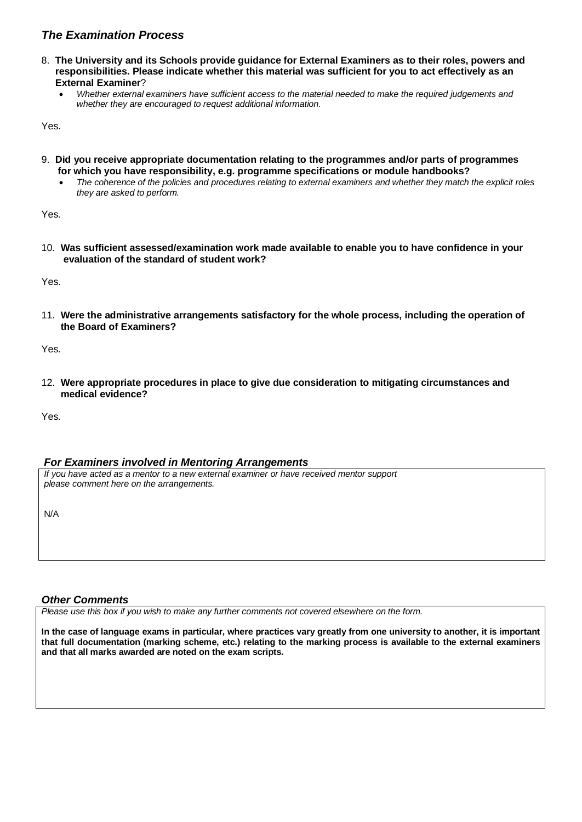## *The Examination Process*

- 8. **The University and its Schools provide guidance for External Examiners as to their roles, powers and responsibilities. Please indicate whether this material was sufficient for you to act effectively as an External Examiner**?
	- *Whether external examiners have sufficient access to the material needed to make the required judgements and whether they are encouraged to request additional information.*

Yes.

- 9. **Did you receive appropriate documentation relating to the programmes and/or parts of programmes for which you have responsibility, e.g. programme specifications or module handbooks?**
	- *The coherence of the policies and procedures relating to external examiners and whether they match the explicit roles they are asked to perform.*

Yes.

10. **Was sufficient assessed/examination work made available to enable you to have confidence in your evaluation of the standard of student work?**

Yes.

11. **Were the administrative arrangements satisfactory for the whole process, including the operation of the Board of Examiners?**

Yes.

12. **Were appropriate procedures in place to give due consideration to mitigating circumstances and medical evidence?**

Yes.

### *For Examiners involved in Mentoring Arrangements*

*If you have acted as a mentor to a new external examiner or have received mentor support please comment here on the arrangements.*

N/A

### *Other Comments*

*Please use this box if you wish to make any further comments not covered elsewhere on the form.*

**In the case of language exams in particular, where practices vary greatly from one university to another, it is important that full documentation (marking scheme, etc.) relating to the marking process is available to the external examiners and that all marks awarded are noted on the exam scripts.**